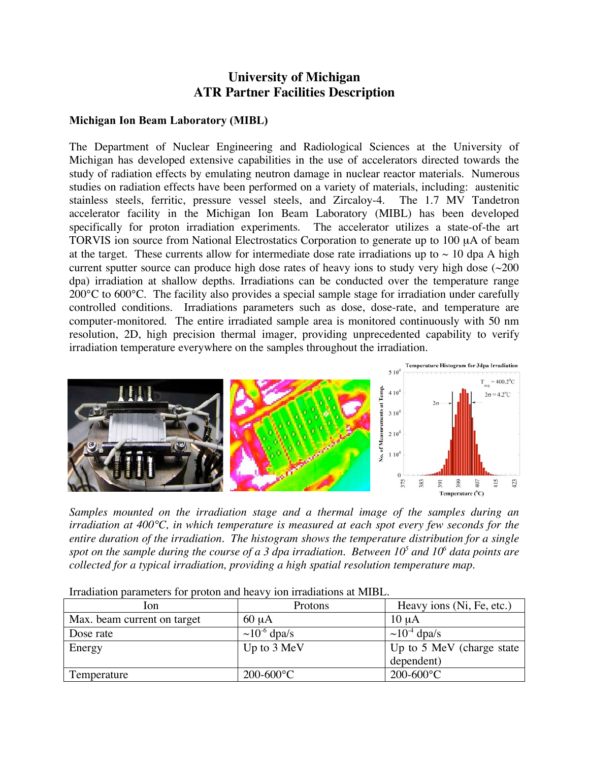## **University of Michigan ATR Partner Facilities Description**

## **Michigan Ion Beam Laboratory (MIBL)**

The Department of Nuclear Engineering and Radiological Sciences at the University of Michigan has developed extensive capabilities in the use of accelerators directed towards the study of radiation effects by emulating neutron damage in nuclear reactor materials. Numerous studies on radiation effects have been performed on a variety of materials, including: austenitic stainless steels, ferritic, pressure vessel steels, and Zircaloy-4. The 1.7 MV Tandetron accelerator facility in the Michigan Ion Beam Laboratory (MIBL) has been developed specifically for proton irradiation experiments. The accelerator utilizes a state-of-the art TORVIS ion source from National Electrostatics Corporation to generate up to 100 µA of beam at the target. These currents allow for intermediate dose rate irradiations up to  $\sim 10$  dpa A high current sputter source can produce high dose rates of heavy ions to study very high dose  $\sim 200$ dpa) irradiation at shallow depths. Irradiations can be conducted over the temperature range 200 °C to 600 °C. The facility also provides a special sample stage for irradiation under carefully controlled conditions. Irradiations parameters such as dose, dose-rate, and temperature are computer-monitored. The entire irradiated sample area is monitored continuously with 50 nm resolution, 2D, high precision thermal imager, providing unprecedented capability to verify irradiation temperature everywhere on the samples throughout the irradiation.



*Samples mounted on the irradiation stage and a thermal image of the samples during an irradiation at 400°C, in which temperature is measured at each spot every few seconds for the entire duration of the irradiation. The histogram shows the temperature distribution for a single spot on the sample during the course of a 3 dpa irradiation. Between 105 and 106 data points are collected for a typical irradiation, providing a high spatial resolution temperature map.*

| lon.                        | Protons                       | Heavy ions (Ni, Fe, etc.)     |
|-----------------------------|-------------------------------|-------------------------------|
| Max. beam current on target | $60 \mu A$                    | $10 \mu A$                    |
| Dose rate                   | $\sim$ 10 <sup>-6</sup> dpa/s | $\sim$ 10 <sup>-4</sup> dpa/s |
| Energy                      | Up to 3 MeV                   | Up to 5 MeV (charge state)    |
|                             |                               | dependent)                    |
| Temperature                 | $200 - 600$ °C                | $200 - 600$ °C                |

Irradiation parameters for proton and heavy ion irradiations at MIBL.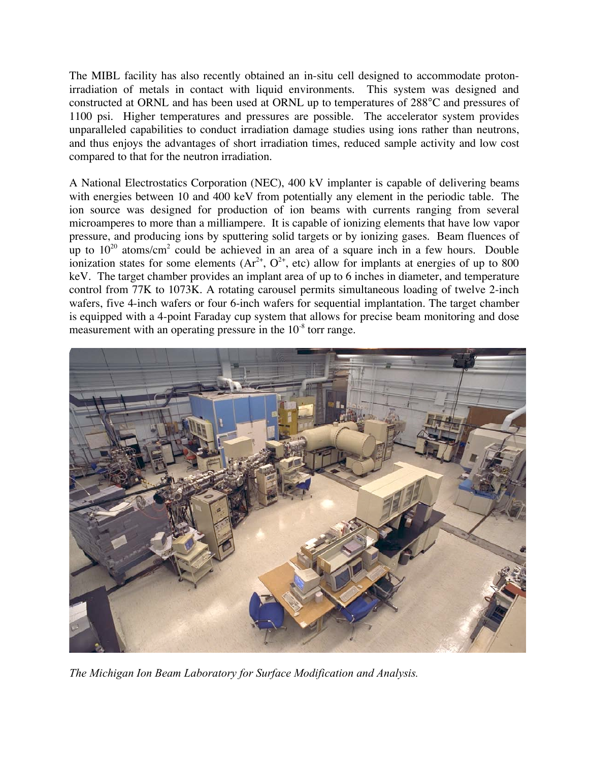The MIBL facility has also recently obtained an in-situ cell designed to accommodate protonirradiation of metals in contact with liquid environments. This system was designed and constructed at ORNL and has been used at ORNL up to temperatures of 288°C and pressures of 1100 psi. Higher temperatures and pressures are possible. The accelerator system provides unparalleled capabilities to conduct irradiation damage studies using ions rather than neutrons, and thus enjoys the advantages of short irradiation times, reduced sample activity and low cost compared to that for the neutron irradiation.

A National Electrostatics Corporation (NEC), 400 kV implanter is capable of delivering beams with energies between 10 and 400 keV from potentially any element in the periodic table. The ion source was designed for production of ion beams with currents ranging from several microamperes to more than a milliampere. It is capable of ionizing elements that have low vapor pressure, and producing ions by sputtering solid targets or by ionizing gases. Beam fluences of up to  $10^{20}$  atoms/cm<sup>2</sup> could be achieved in an area of a square inch in a few hours. Double ionization states for some elements  $(Ar^{2+}, O^{2+}, etc)$  allow for implants at energies of up to 800 keV. The target chamber provides an implant area of up to 6 inches in diameter, and temperature control from 77K to 1073K. A rotating carousel permits simultaneous loading of twelve 2-inch wafers, five 4-inch wafers or four 6-inch wafers for sequential implantation. The target chamber is equipped with a 4-point Faraday cup system that allows for precise beam monitoring and dose measurement with an operating pressure in the 10<sup>-8</sup> torr range.



*The Michigan Ion Beam Laboratory for Surface Modification and Analysis.*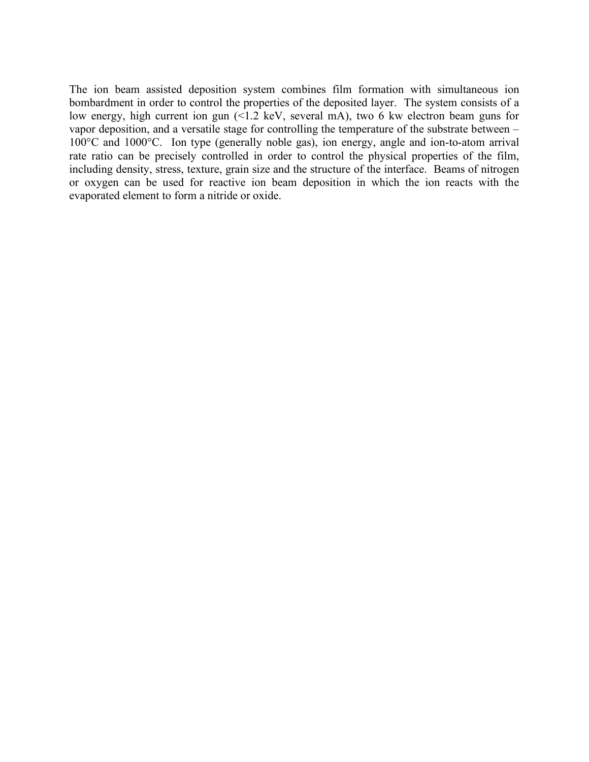The ion beam assisted deposition system combines film formation with simultaneous ion bombardment in order to control the properties of the deposited layer. The system consists of a low energy, high current ion gun (<1.2 keV, several mA), two 6 kw electron beam guns for vapor deposition, and a versatile stage for controlling the temperature of the substrate between – 100°C and 1000°C. Ion type (generally noble gas), ion energy, angle and ion-to-atom arrival rate ratio can be precisely controlled in order to control the physical properties of the film, including density, stress, texture, grain size and the structure of the interface. Beams of nitrogen or oxygen can be used for reactive ion beam deposition in which the ion reacts with the evaporated element to form a nitride or oxide.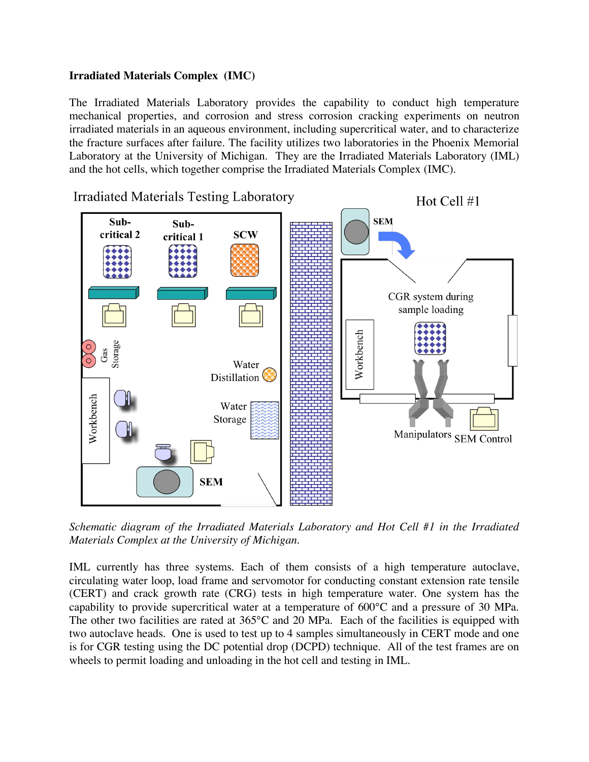## **Irradiated Materials Complex (IMC)**

The Irradiated Materials Laboratory provides the capability to conduct high temperature mechanical properties, and corrosion and stress corrosion cracking experiments on neutron irradiated materials in an aqueous environment, including supercritical water, and to characterize the fracture surfaces after failure. The facility utilizes two laboratories in the Phoenix Memorial Laboratory at the University of Michigan. They are the Irradiated Materials Laboratory (IML) and the hot cells, which together comprise the Irradiated Materials Complex (IMC).



*Schematic diagram of the Irradiated Materials Laboratory and Hot Cell #1 in the Irradiated Materials Complex at the University of Michigan.*

IML currently has three systems. Each of them consists of a high temperature autoclave, circulating water loop, load frame and servomotor for conducting constant extension rate tensile (CERT) and crack growth rate (CRG) tests in high temperature water. One system has the capability to provide supercritical water at a temperature of 600°C and a pressure of 30 MPa. The other two facilities are rated at 365°C and 20 MPa. Each of the facilities is equipped with two autoclave heads. One is used to test up to 4 samples simultaneously in CERT mode and one is for CGR testing using the DC potential drop (DCPD) technique. All of the test frames are on wheels to permit loading and unloading in the hot cell and testing in IML.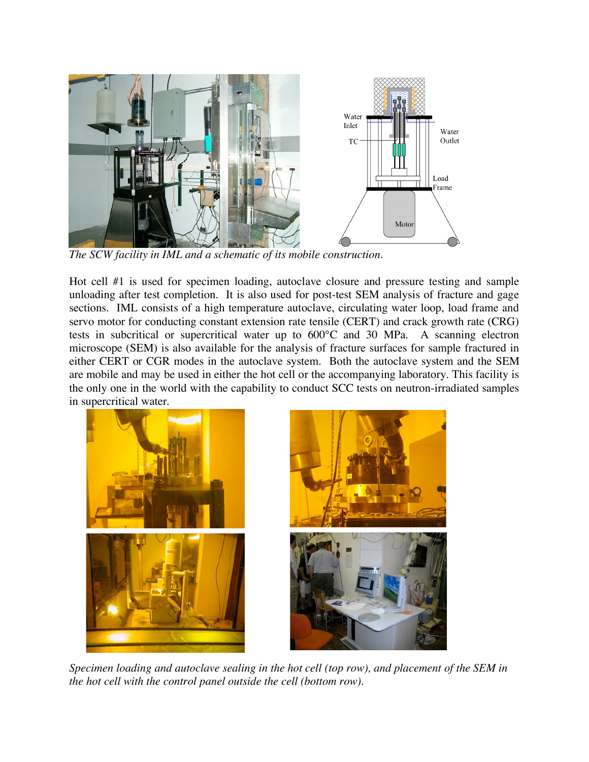

*The SCW facility in IML and a schematic of its mobile construction.*

Hot cell #1 is used for specimen loading, autoclave closure and pressure testing and sample unloading after test completion. It is also used for post-test SEM analysis of fracture and gage sections. IML consists of a high temperature autoclave, circulating water loop, load frame and servo motor for conducting constant extension rate tensile (CERT) and crack growth rate (CRG) tests in subcritical or supercritical water up to 600°C and 30 MPa. A scanning electron microscope (SEM) is also available for the analysis of fracture surfaces for sample fractured in either CERT or CGR modes in the autoclave system. Both the autoclave system and the SEM are mobile and may be used in either the hot cell or the accompanying laboratory. This facility is the only one in the world with the capability to conduct SCC tests on neutron-irradiated samples in supercritical water.



*Specimen loading and autoclave sealing in the hot cell (top row), and placement of the SEM in the hot cell with the control panel outside the cell (bottom row).*